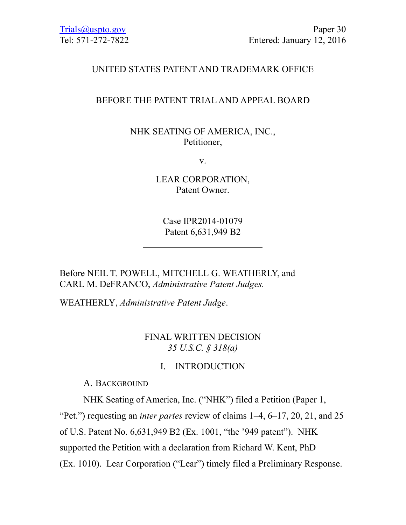## UNITED STATES PATENT AND TRADEMARK OFFICE

### BEFORE THE PATENT TRIAL AND APPEAL BOARD

NHK SEATING OF AMERICA, INC., Petitioner,

v.

LEAR CORPORATION, Patent Owner.

Case IPR2014-01079 Patent 6,631,949 B2

Before NEIL T. POWELL, MITCHELL G. WEATHERLY, and CARL M. DeFRANCO, *Administrative Patent Judges.*

WEATHERLY, *Administrative Patent Judge*.

### FINAL WRITTEN DECISION *35 U.S.C. § 318(a)*

## I. INTRODUCTION

A. BACKGROUND

NHK Seating of America, Inc. ("NHK") filed a Petition (Paper 1, "Pet.") requesting an *inter partes* review of claims 1–4, 6–17, 20, 21, and 25 of U.S. Patent No. 6,631,949 B2 (Ex. 1001, "the '949 patent"). NHK supported the Petition with a declaration from Richard W. Kent, PhD (Ex. 1010). Lear Corporation ("Lear") timely filed a Preliminary Response.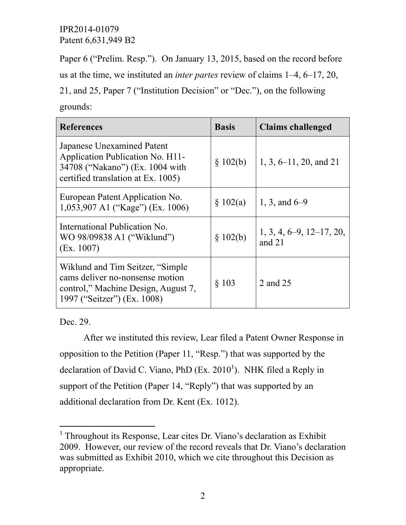Paper 6 ("Prelim. Resp."). On January 13, 2015, based on the record before us at the time, we instituted an *inter partes* review of claims 1–4, 6–17, 20, 21, and 25, Paper 7 ("Institution Decision" or "Dec."), on the following

| grounds: |
|----------|
|----------|

| <b>References</b>                                                                                                                          | <b>Basis</b> | <b>Claims challenged</b>               |
|--------------------------------------------------------------------------------------------------------------------------------------------|--------------|----------------------------------------|
| Japanese Unexamined Patent<br>Application Publication No. H11-<br>34708 ("Nakano") (Ex. 1004 with<br>certified translation at Ex. 1005)    | \$102(b)     | $1, 3, 6$ -11, 20, and 21              |
| European Patent Application No.<br>1,053,907 A1 ("Kage") (Ex. 1006)                                                                        | \$102(a)     | 1, 3, and $6-9$                        |
| International Publication No.<br>WO 98/09838 A1 ("Wiklund")<br>(EX. 1007)                                                                  | \$102(b)     | $1, 3, 4, 6-9, 12-17, 20,$<br>and $21$ |
| Wiklund and Tim Seitzer, "Simple"<br>cams deliver no-nonsense motion<br>control," Machine Design, August 7,<br>1997 ("Seitzer") (Ex. 1008) | § 103        | 2 and 25                               |

Dec. 29.

l

After we instituted this review, Lear filed a Patent Owner Response in opposition to the Petition (Paper 11, "Resp.") that was supported by the declaration of David C. Viano, PhD  $(Ex. 2010<sup>1</sup>)$ . NHK filed a Reply in support of the Petition (Paper 14, "Reply") that was supported by an additional declaration from Dr. Kent (Ex. 1012).

<sup>&</sup>lt;sup>1</sup> Throughout its Response, Lear cites Dr. Viano's declaration as Exhibit 2009. However, our review of the record reveals that Dr. Viano's declaration was submitted as Exhibit 2010, which we cite throughout this Decision as appropriate.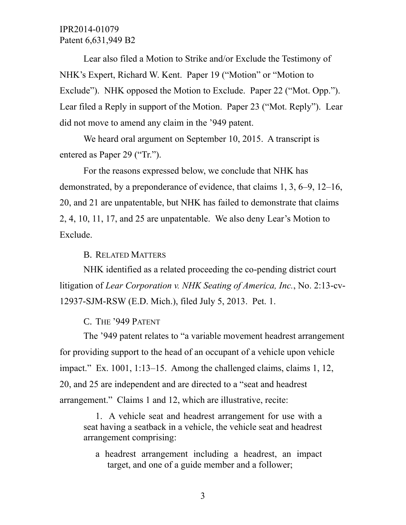Lear also filed a Motion to Strike and/or Exclude the Testimony of NHK's Expert, Richard W. Kent. Paper 19 ("Motion" or "Motion to Exclude"). NHK opposed the Motion to Exclude. Paper 22 ("Mot. Opp."). Lear filed a Reply in support of the Motion. Paper 23 ("Mot. Reply"). Lear did not move to amend any claim in the '949 patent.

We heard oral argument on September 10, 2015. A transcript is entered as Paper 29 ("Tr.").

For the reasons expressed below, we conclude that NHK has demonstrated, by a preponderance of evidence, that claims 1, 3, 6–9, 12–16, 20, and 21 are unpatentable, but NHK has failed to demonstrate that claims 2, 4, 10, 11, 17, and 25 are unpatentable. We also deny Lear's Motion to Exclude.

B. RELATED MATTERS

NHK identified as a related proceeding the co-pending district court litigation of *Lear Corporation v. NHK Seating of America, Inc.*, No. 2:13-cv-12937-SJM-RSW (E.D. Mich.), filed July 5, 2013. Pet. 1.

C. THE '949 PATENT

The '949 patent relates to "a variable movement headrest arrangement for providing support to the head of an occupant of a vehicle upon vehicle impact." Ex. 1001, 1:13–15. Among the challenged claims, claims 1, 12, 20, and 25 are independent and are directed to a "seat and headrest arrangement." Claims 1 and 12, which are illustrative, recite:

1. A vehicle seat and headrest arrangement for use with a seat having a seatback in a vehicle, the vehicle seat and headrest arrangement comprising:

a headrest arrangement including a headrest, an impact target, and one of a guide member and a follower;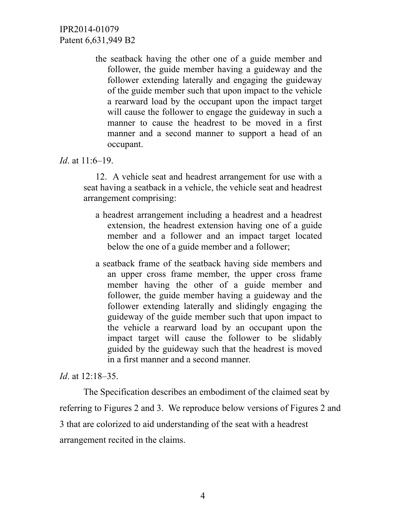> the seatback having the other one of a guide member and follower, the guide member having a guideway and the follower extending laterally and engaging the guideway of the guide member such that upon impact to the vehicle a rearward load by the occupant upon the impact target will cause the follower to engage the guideway in such a manner to cause the headrest to be moved in a first manner and a second manner to support a head of an occupant.

#### *Id*. at 11:6–19.

12. A vehicle seat and headrest arrangement for use with a seat having a seatback in a vehicle, the vehicle seat and headrest arrangement comprising:

- a headrest arrangement including a headrest and a headrest extension, the headrest extension having one of a guide member and a follower and an impact target located below the one of a guide member and a follower;
- a seatback frame of the seatback having side members and an upper cross frame member, the upper cross frame member having the other of a guide member and follower, the guide member having a guideway and the follower extending laterally and slidingly engaging the guideway of the guide member such that upon impact to the vehicle a rearward load by an occupant upon the impact target will cause the follower to be slidably guided by the guideway such that the headrest is moved in a first manner and a second manner.

### *Id*. at 12:18–35.

The Specification describes an embodiment of the claimed seat by referring to Figures 2 and 3. We reproduce below versions of Figures 2 and 3 that are colorized to aid understanding of the seat with a headrest arrangement recited in the claims.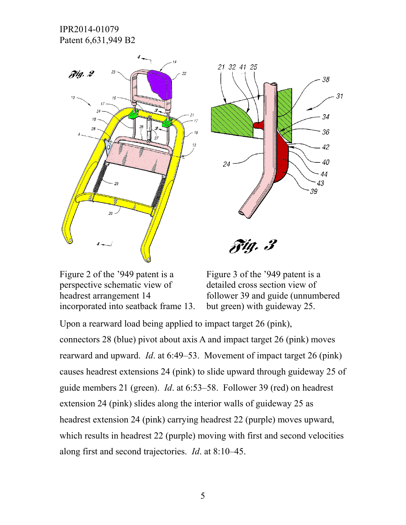



 $riq.$   $\beta$ 

Figure 2 of the '949 patent is a perspective schematic view of headrest arrangement 14 incorporated into seatback frame 13. Figure 3 of the '949 patent is a detailed cross section view of follower 39 and guide (unnumbered but green) with guideway 25.

Upon a rearward load being applied to impact target 26 (pink), connectors 28 (blue) pivot about axis A and impact target 26 (pink) moves rearward and upward. *Id*. at 6:49–53. Movement of impact target 26 (pink) causes headrest extensions 24 (pink) to slide upward through guideway 25 of guide members 21 (green). *Id*. at 6:53–58. Follower 39 (red) on headrest extension 24 (pink) slides along the interior walls of guideway 25 as headrest extension 24 (pink) carrying headrest 22 (purple) moves upward, which results in headrest 22 (purple) moving with first and second velocities along first and second trajectories. *Id*. at 8:10–45.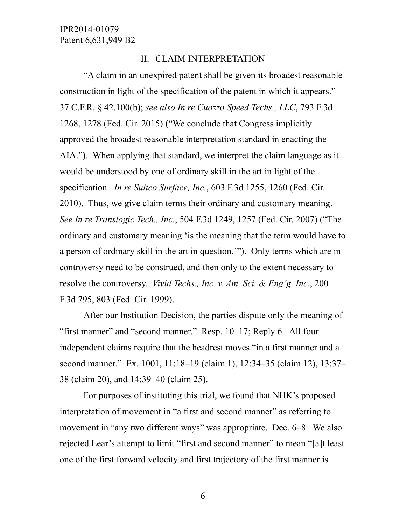### II. CLAIM INTERPRETATION

"A claim in an unexpired patent shall be given its broadest reasonable construction in light of the specification of the patent in which it appears." 37 C.F.R. § 42.100(b); *see also In re Cuozzo Speed Techs., LLC*, 793 F.3d 1268, 1278 (Fed. Cir. 2015) ("We conclude that Congress implicitly approved the broadest reasonable interpretation standard in enacting the AIA."). When applying that standard, we interpret the claim language as it would be understood by one of ordinary skill in the art in light of the specification. *In re Suitco Surface, Inc.*, 603 F.3d 1255, 1260 (Fed. Cir. 2010). Thus, we give claim terms their ordinary and customary meaning. *See In re Translogic Tech., Inc.*, 504 F.3d 1249, 1257 (Fed. Cir. 2007) ("The ordinary and customary meaning 'is the meaning that the term would have to a person of ordinary skill in the art in question.'"). Only terms which are in controversy need to be construed, and then only to the extent necessary to resolve the controversy. *Vivid Techs., Inc. v. Am. Sci. & Eng'g, Inc*., 200 F.3d 795, 803 (Fed. Cir. 1999).

After our Institution Decision, the parties dispute only the meaning of "first manner" and "second manner." Resp. 10–17; Reply 6. All four independent claims require that the headrest moves "in a first manner and a second manner." Ex. 1001, 11:18–19 (claim 1), 12:34–35 (claim 12), 13:37– 38 (claim 20), and 14:39–40 (claim 25).

For purposes of instituting this trial, we found that NHK's proposed interpretation of movement in "a first and second manner" as referring to movement in "any two different ways" was appropriate. Dec. 6–8. We also rejected Lear's attempt to limit "first and second manner" to mean "[a]t least one of the first forward velocity and first trajectory of the first manner is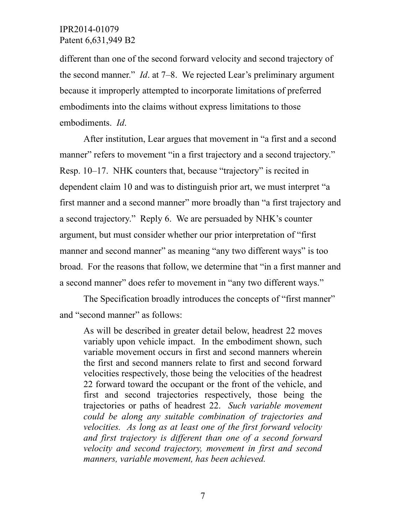different than one of the second forward velocity and second trajectory of the second manner." *Id*. at 7–8. We rejected Lear's preliminary argument because it improperly attempted to incorporate limitations of preferred embodiments into the claims without express limitations to those embodiments. *Id*.

After institution, Lear argues that movement in "a first and a second manner" refers to movement "in a first trajectory and a second trajectory." Resp. 10–17. NHK counters that, because "trajectory" is recited in dependent claim 10 and was to distinguish prior art, we must interpret "a first manner and a second manner" more broadly than "a first trajectory and a second trajectory." Reply 6. We are persuaded by NHK's counter argument, but must consider whether our prior interpretation of "first manner and second manner" as meaning "any two different ways" is too broad. For the reasons that follow, we determine that "in a first manner and a second manner" does refer to movement in "any two different ways."

The Specification broadly introduces the concepts of "first manner" and "second manner" as follows:

As will be described in greater detail below, headrest 22 moves variably upon vehicle impact. In the embodiment shown, such variable movement occurs in first and second manners wherein the first and second manners relate to first and second forward velocities respectively, those being the velocities of the headrest 22 forward toward the occupant or the front of the vehicle, and first and second trajectories respectively, those being the trajectories or paths of headrest 22. *Such variable movement could be along any suitable combination of trajectories and velocities. As long as at least one of the first forward velocity and first trajectory is different than one of a second forward velocity and second trajectory, movement in first and second manners, variable movement, has been achieved.*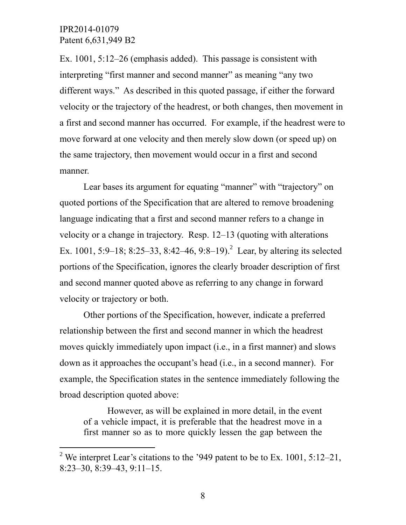$\overline{a}$ 

Ex. 1001, 5:12–26 (emphasis added). This passage is consistent with interpreting "first manner and second manner" as meaning "any two different ways." As described in this quoted passage, if either the forward velocity or the trajectory of the headrest, or both changes, then movement in a first and second manner has occurred. For example, if the headrest were to move forward at one velocity and then merely slow down (or speed up) on the same trajectory, then movement would occur in a first and second manner.

Lear bases its argument for equating "manner" with "trajectory" on quoted portions of the Specification that are altered to remove broadening language indicating that a first and second manner refers to a change in velocity or a change in trajectory. Resp. 12–13 (quoting with alterations Ex. 1001, 5:9–18; 8:25–33, 8:42–46, 9:8–19).<sup>2</sup> Lear, by altering its selected portions of the Specification, ignores the clearly broader description of first and second manner quoted above as referring to any change in forward velocity or trajectory or both.

Other portions of the Specification, however, indicate a preferred relationship between the first and second manner in which the headrest moves quickly immediately upon impact (i.e., in a first manner) and slows down as it approaches the occupant's head (i.e., in a second manner). For example, the Specification states in the sentence immediately following the broad description quoted above:

However, as will be explained in more detail, in the event of a vehicle impact, it is preferable that the headrest move in a first manner so as to more quickly lessen the gap between the

<sup>&</sup>lt;sup>2</sup> We interpret Lear's citations to the '949 patent to be to Ex. 1001, 5:12–21, 8:23–30, 8:39–43, 9:11–15.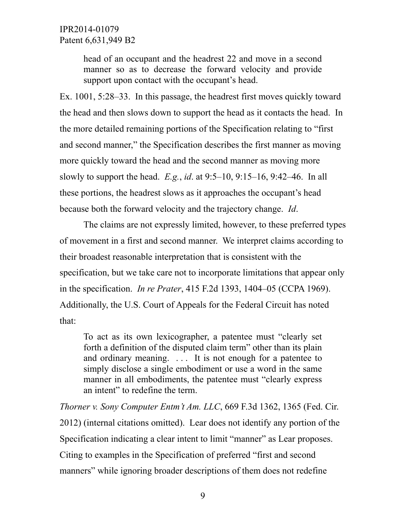head of an occupant and the headrest 22 and move in a second manner so as to decrease the forward velocity and provide support upon contact with the occupant's head.

Ex. 1001, 5:28–33. In this passage, the headrest first moves quickly toward the head and then slows down to support the head as it contacts the head. In the more detailed remaining portions of the Specification relating to "first and second manner," the Specification describes the first manner as moving more quickly toward the head and the second manner as moving more slowly to support the head. *E.g.*, *id*. at 9:5–10, 9:15–16, 9:42–46. In all these portions, the headrest slows as it approaches the occupant's head because both the forward velocity and the trajectory change. *Id*.

The claims are not expressly limited, however, to these preferred types of movement in a first and second manner. We interpret claims according to their broadest reasonable interpretation that is consistent with the specification, but we take care not to incorporate limitations that appear only in the specification. *In re Prater*, 415 F.2d 1393, 1404–05 (CCPA 1969). Additionally, the U.S. Court of Appeals for the Federal Circuit has noted that:

To act as its own lexicographer, a patentee must "clearly set forth a definition of the disputed claim term" other than its plain and ordinary meaning. . . . It is not enough for a patentee to simply disclose a single embodiment or use a word in the same manner in all embodiments, the patentee must "clearly express an intent" to redefine the term.

*Thorner v. Sony Computer Entm't Am. LLC*, 669 F.3d 1362, 1365 (Fed. Cir. 2012) (internal citations omitted). Lear does not identify any portion of the Specification indicating a clear intent to limit "manner" as Lear proposes. Citing to examples in the Specification of preferred "first and second manners" while ignoring broader descriptions of them does not redefine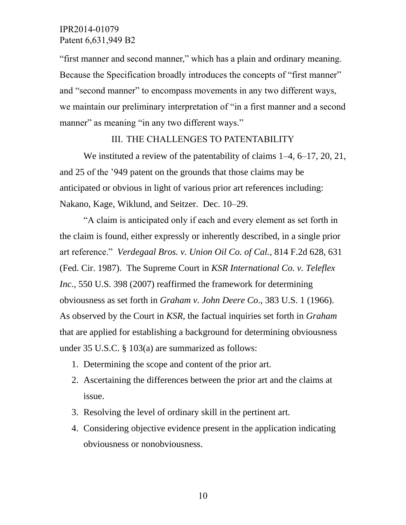"first manner and second manner," which has a plain and ordinary meaning. Because the Specification broadly introduces the concepts of "first manner" and "second manner" to encompass movements in any two different ways, we maintain our preliminary interpretation of "in a first manner and a second manner" as meaning "in any two different ways."

### III. THE CHALLENGES TO PATENTABILITY

We instituted a review of the patentability of claims  $1-4$ , 6–17, 20, 21, and 25 of the '949 patent on the grounds that those claims may be anticipated or obvious in light of various prior art references including: Nakano, Kage, Wiklund, and Seitzer. Dec. 10–29.

"A claim is anticipated only if each and every element as set forth in the claim is found, either expressly or inherently described, in a single prior art reference." *Verdegaal Bros. v. Union Oil Co. of Cal.*, 814 F.2d 628, 631 (Fed. Cir. 1987). The Supreme Court in *KSR International Co. v. Teleflex Inc.*, 550 U.S. 398 (2007) reaffirmed the framework for determining obviousness as set forth in *Graham v. John Deere Co*., 383 U.S. 1 (1966). As observed by the Court in *KSR*, the factual inquiries set forth in *Graham* that are applied for establishing a background for determining obviousness under 35 U.S.C. § 103(a) are summarized as follows:

- 1. Determining the scope and content of the prior art.
- 2. Ascertaining the differences between the prior art and the claims at issue.
- 3. Resolving the level of ordinary skill in the pertinent art.
- 4. Considering objective evidence present in the application indicating obviousness or nonobviousness.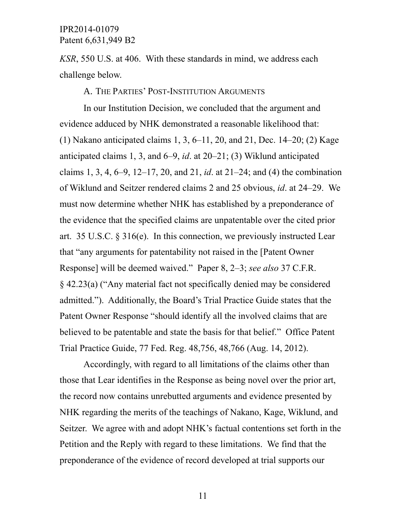*KSR*, 550 U.S. at 406. With these standards in mind, we address each challenge below.

A. THE PARTIES' POST-INSTITUTION ARGUMENTS

In our Institution Decision, we concluded that the argument and evidence adduced by NHK demonstrated a reasonable likelihood that: (1) Nakano anticipated claims 1, 3, 6–11, 20, and 21, Dec. 14–20; (2) Kage anticipated claims 1, 3, and 6–9, *id*. at 20–21; (3) Wiklund anticipated claims 1, 3, 4, 6–9, 12–17, 20, and 21, *id*. at 21–24; and (4) the combination of Wiklund and Seitzer rendered claims 2 and 25 obvious, *id*. at 24–29. We must now determine whether NHK has established by a preponderance of the evidence that the specified claims are unpatentable over the cited prior art. 35 U.S.C. § 316(e). In this connection, we previously instructed Lear that "any arguments for patentability not raised in the [Patent Owner Response] will be deemed waived." Paper 8, 2–3; *see also* 37 C.F.R. § 42.23(a) ("Any material fact not specifically denied may be considered admitted."). Additionally, the Board's Trial Practice Guide states that the Patent Owner Response "should identify all the involved claims that are believed to be patentable and state the basis for that belief." Office Patent Trial Practice Guide, 77 Fed. Reg. 48,756, 48,766 (Aug. 14, 2012).

Accordingly, with regard to all limitations of the claims other than those that Lear identifies in the Response as being novel over the prior art, the record now contains unrebutted arguments and evidence presented by NHK regarding the merits of the teachings of Nakano, Kage, Wiklund, and Seitzer. We agree with and adopt NHK's factual contentions set forth in the Petition and the Reply with regard to these limitations. We find that the preponderance of the evidence of record developed at trial supports our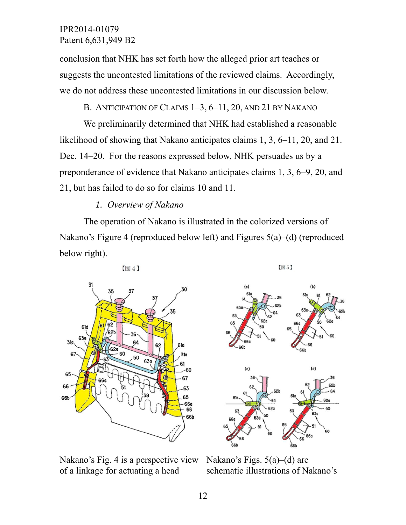conclusion that NHK has set forth how the alleged prior art teaches or suggests the uncontested limitations of the reviewed claims. Accordingly, we do not address these uncontested limitations in our discussion below.

B. ANTICIPATION OF CLAIMS 1-3, 6-11, 20, AND 21 BY NAKANO

We preliminarily determined that NHK had established a reasonable likelihood of showing that Nakano anticipates claims 1, 3, 6–11, 20, and 21. Dec. 14–20. For the reasons expressed below, NHK persuades us by a preponderance of evidence that Nakano anticipates claims 1, 3, 6–9, 20, and 21, but has failed to do so for claims 10 and 11.

## *1. Overview of Nakano*

The operation of Nakano is illustrated in the colorized versions of Nakano's Figure 4 (reproduced below left) and Figures 5(a)–(d) (reproduced below right).







Nakano's Figs. 5(a)–(d) are schematic illustrations of Nakano's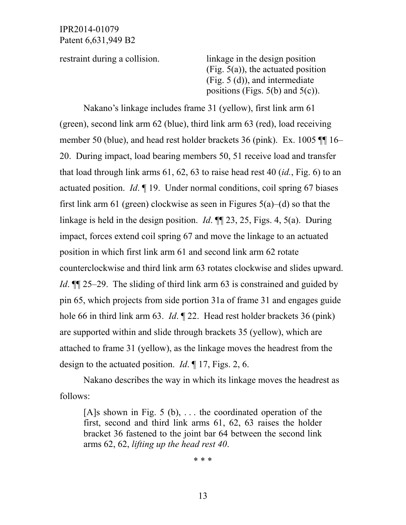restraint during a collision. linkage in the design position (Fig. 5(a)), the actuated position (Fig. 5 (d)), and intermediate positions (Figs.  $5(b)$  and  $5(c)$ ).

Nakano's linkage includes frame 31 (yellow), first link arm 61 (green), second link arm 62 (blue), third link arm 63 (red), load receiving member 50 (blue), and head rest holder brackets 36 (pink). Ex. 1005 ¶¶ 16– 20. During impact, load bearing members 50, 51 receive load and transfer that load through link arms 61, 62, 63 to raise head rest 40 (*id.*, Fig. 6) to an actuated position. *Id*. ¶ 19. Under normal conditions, coil spring 67 biases first link arm 61 (green) clockwise as seen in Figures  $5(a)$ –(d) so that the linkage is held in the design position. *Id*. ¶¶ 23, 25, Figs. 4, 5(a). During impact, forces extend coil spring 67 and move the linkage to an actuated position in which first link arm 61 and second link arm 62 rotate counterclockwise and third link arm 63 rotates clockwise and slides upward. *Id*. **¶** 25–29. The sliding of third link arm 63 is constrained and guided by pin 65, which projects from side portion 31a of frame 31 and engages guide hole 66 in third link arm 63. *Id*. ¶ 22. Head rest holder brackets 36 (pink) are supported within and slide through brackets 35 (yellow), which are attached to frame 31 (yellow), as the linkage moves the headrest from the design to the actuated position. *Id*. ¶ 17, Figs. 2, 6.

Nakano describes the way in which its linkage moves the headrest as follows:

[A]s shown in Fig. 5 (b),  $\dots$  the coordinated operation of the first, second and third link arms 61, 62, 63 raises the holder bracket 36 fastened to the joint bar 64 between the second link arms 62, 62, *lifting up the head rest 40*.

\* \* \*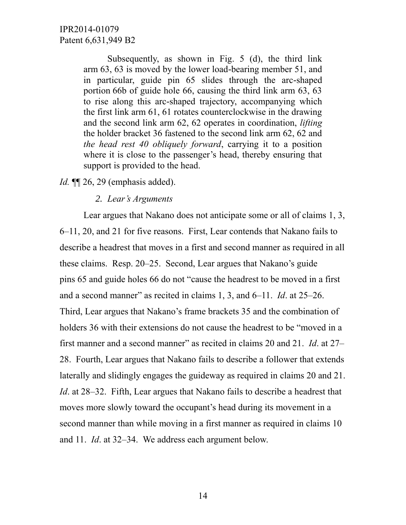Subsequently, as shown in Fig. 5 (d), the third link arm 63, 63 is moved by the lower load-bearing member 51, and in particular, guide pin 65 slides through the arc-shaped portion 66b of guide hole 66, causing the third link arm 63, 63 to rise along this arc-shaped trajectory, accompanying which the first link arm 61, 61 rotates counterclockwise in the drawing and the second link arm 62, 62 operates in coordination, *lifting* the holder bracket 36 fastened to the second link arm 62, 62 and *the head rest 40 obliquely forward*, carrying it to a position where it is close to the passenger's head, thereby ensuring that support is provided to the head.

*Id.* **[14.** 26, 29 (emphasis added).

#### *2. Lear's Arguments*

Lear argues that Nakano does not anticipate some or all of claims 1, 3, 6–11, 20, and 21 for five reasons. First, Lear contends that Nakano fails to describe a headrest that moves in a first and second manner as required in all these claims. Resp. 20–25. Second, Lear argues that Nakano's guide pins 65 and guide holes 66 do not "cause the headrest to be moved in a first and a second manner" as recited in claims 1, 3, and 6–11. *Id*. at 25–26. Third, Lear argues that Nakano's frame brackets 35 and the combination of holders 36 with their extensions do not cause the headrest to be "moved in a first manner and a second manner" as recited in claims 20 and 21. *Id*. at 27– 28. Fourth, Lear argues that Nakano fails to describe a follower that extends laterally and slidingly engages the guideway as required in claims 20 and 21. *Id*. at 28–32. Fifth, Lear argues that Nakano fails to describe a headrest that moves more slowly toward the occupant's head during its movement in a second manner than while moving in a first manner as required in claims 10 and 11. *Id*. at 32–34. We address each argument below.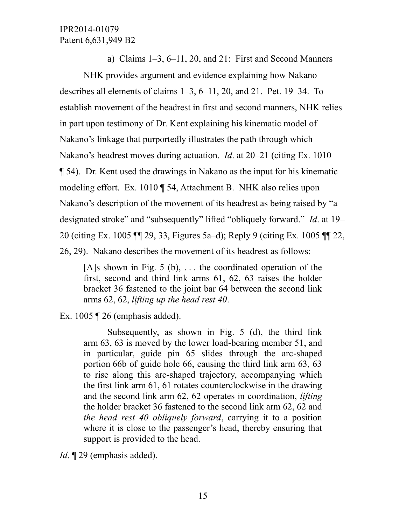a) Claims 1–3, 6–11, 20, and 21: First and Second Manners

NHK provides argument and evidence explaining how Nakano describes all elements of claims 1–3, 6–11, 20, and 21. Pet. 19–34. To establish movement of the headrest in first and second manners, NHK relies in part upon testimony of Dr. Kent explaining his kinematic model of Nakano's linkage that purportedly illustrates the path through which Nakano's headrest moves during actuation. *Id*. at 20–21 (citing Ex. 1010 ¶ 54). Dr. Kent used the drawings in Nakano as the input for his kinematic modeling effort. Ex. 1010 ¶ 54, Attachment B. NHK also relies upon Nakano's description of the movement of its headrest as being raised by "a designated stroke" and "subsequently" lifted "obliquely forward." *Id*. at 19– 20 (citing Ex. 1005 ¶¶ 29, 33, Figures 5a–d); Reply 9 (citing Ex. 1005 ¶¶ 22, 26, 29). Nakano describes the movement of its headrest as follows:

[A]s shown in Fig. 5 (b),  $\dots$  the coordinated operation of the first, second and third link arms 61, 62, 63 raises the holder bracket 36 fastened to the joint bar 64 between the second link arms 62, 62, *lifting up the head rest 40*.

Ex. 1005 ¶ 26 (emphasis added).

Subsequently, as shown in Fig. 5 (d), the third link arm 63, 63 is moved by the lower load-bearing member 51, and in particular, guide pin 65 slides through the arc-shaped portion 66b of guide hole 66, causing the third link arm 63, 63 to rise along this arc-shaped trajectory, accompanying which the first link arm 61, 61 rotates counterclockwise in the drawing and the second link arm 62, 62 operates in coordination, *lifting* the holder bracket 36 fastened to the second link arm 62, 62 and *the head rest 40 obliquely forward*, carrying it to a position where it is close to the passenger's head, thereby ensuring that support is provided to the head.

*Id*. **[29** (emphasis added).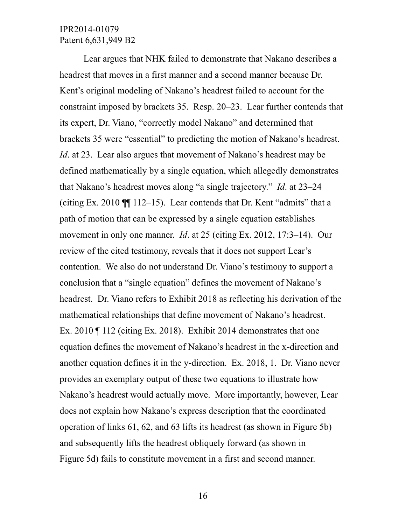Lear argues that NHK failed to demonstrate that Nakano describes a headrest that moves in a first manner and a second manner because Dr. Kent's original modeling of Nakano's headrest failed to account for the constraint imposed by brackets 35. Resp. 20–23. Lear further contends that its expert, Dr. Viano, "correctly model Nakano" and determined that brackets 35 were "essential" to predicting the motion of Nakano's headrest. *Id*. at 23. Lear also argues that movement of Nakano's headrest may be defined mathematically by a single equation, which allegedly demonstrates that Nakano's headrest moves along "a single trajectory." *Id*. at 23–24 (citing Ex. 2010  $\P$  112–15). Lear contends that Dr. Kent "admits" that a path of motion that can be expressed by a single equation establishes movement in only one manner. *Id*. at 25 (citing Ex. 2012, 17:3–14). Our review of the cited testimony, reveals that it does not support Lear's contention. We also do not understand Dr. Viano's testimony to support a conclusion that a "single equation" defines the movement of Nakano's headrest. Dr. Viano refers to Exhibit 2018 as reflecting his derivation of the mathematical relationships that define movement of Nakano's headrest. Ex. 2010 ¶ 112 (citing Ex. 2018). Exhibit 2014 demonstrates that one equation defines the movement of Nakano's headrest in the x-direction and another equation defines it in the y-direction. Ex. 2018, 1. Dr. Viano never provides an exemplary output of these two equations to illustrate how Nakano's headrest would actually move. More importantly, however, Lear does not explain how Nakano's express description that the coordinated operation of links 61, 62, and 63 lifts its headrest (as shown in Figure 5b) and subsequently lifts the headrest obliquely forward (as shown in Figure 5d) fails to constitute movement in a first and second manner.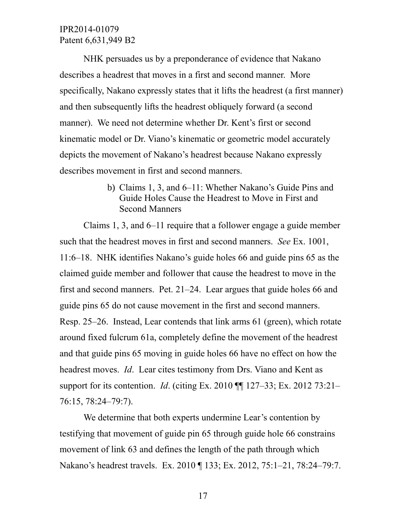NHK persuades us by a preponderance of evidence that Nakano describes a headrest that moves in a first and second manner. More specifically, Nakano expressly states that it lifts the headrest (a first manner) and then subsequently lifts the headrest obliquely forward (a second manner). We need not determine whether Dr. Kent's first or second kinematic model or Dr. Viano's kinematic or geometric model accurately depicts the movement of Nakano's headrest because Nakano expressly describes movement in first and second manners.

> b) Claims 1, 3, and 6–11: Whether Nakano's Guide Pins and Guide Holes Cause the Headrest to Move in First and Second Manners

Claims 1, 3, and 6–11 require that a follower engage a guide member such that the headrest moves in first and second manners. *See* Ex. 1001, 11:6–18. NHK identifies Nakano's guide holes 66 and guide pins 65 as the claimed guide member and follower that cause the headrest to move in the first and second manners. Pet. 21–24. Lear argues that guide holes 66 and guide pins 65 do not cause movement in the first and second manners. Resp. 25–26. Instead, Lear contends that link arms 61 (green), which rotate around fixed fulcrum 61a, completely define the movement of the headrest and that guide pins 65 moving in guide holes 66 have no effect on how the headrest moves. *Id*. Lear cites testimony from Drs. Viano and Kent as support for its contention. *Id*. (citing Ex. 2010 ¶¶ 127–33; Ex. 2012 73:21– 76:15, 78:24–79:7).

We determine that both experts undermine Lear's contention by testifying that movement of guide pin 65 through guide hole 66 constrains movement of link 63 and defines the length of the path through which Nakano's headrest travels. Ex. 2010 ¶ 133; Ex. 2012, 75:1–21, 78:24–79:7.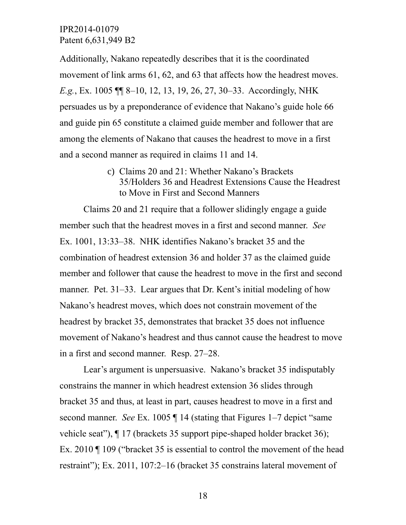Additionally, Nakano repeatedly describes that it is the coordinated movement of link arms 61, 62, and 63 that affects how the headrest moves. *E.g.*, Ex. 1005 ¶¶ 8–10, 12, 13, 19, 26, 27, 30–33. Accordingly, NHK persuades us by a preponderance of evidence that Nakano's guide hole 66 and guide pin 65 constitute a claimed guide member and follower that are among the elements of Nakano that causes the headrest to move in a first and a second manner as required in claims 11 and 14.

> c) Claims 20 and 21: Whether Nakano's Brackets 35/Holders 36 and Headrest Extensions Cause the Headrest to Move in First and Second Manners

Claims 20 and 21 require that a follower slidingly engage a guide member such that the headrest moves in a first and second manner. *See* Ex. 1001, 13:33–38. NHK identifies Nakano's bracket 35 and the combination of headrest extension 36 and holder 37 as the claimed guide member and follower that cause the headrest to move in the first and second manner. Pet. 31–33. Lear argues that Dr. Kent's initial modeling of how Nakano's headrest moves, which does not constrain movement of the headrest by bracket 35, demonstrates that bracket 35 does not influence movement of Nakano's headrest and thus cannot cause the headrest to move in a first and second manner. Resp. 27–28.

Lear's argument is unpersuasive. Nakano's bracket 35 indisputably constrains the manner in which headrest extension 36 slides through bracket 35 and thus, at least in part, causes headrest to move in a first and second manner. *See* Ex. 1005 ¶ 14 (stating that Figures 1–7 depict "same vehicle seat"), ¶ 17 (brackets 35 support pipe-shaped holder bracket 36); Ex. 2010 ¶ 109 ("bracket 35 is essential to control the movement of the head restraint"); Ex. 2011, 107:2–16 (bracket 35 constrains lateral movement of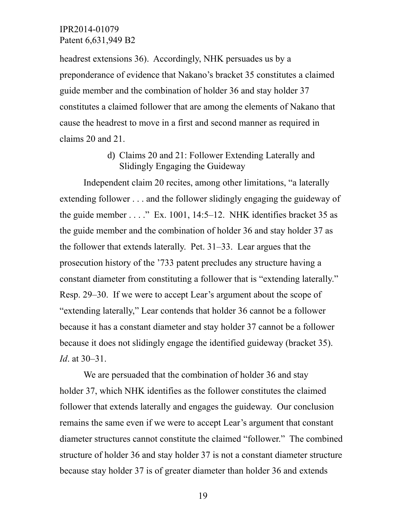headrest extensions 36). Accordingly, NHK persuades us by a preponderance of evidence that Nakano's bracket 35 constitutes a claimed guide member and the combination of holder 36 and stay holder 37 constitutes a claimed follower that are among the elements of Nakano that cause the headrest to move in a first and second manner as required in claims 20 and 21.

# d) Claims 20 and 21: Follower Extending Laterally and Slidingly Engaging the Guideway

Independent claim 20 recites, among other limitations, "a laterally extending follower . . . and the follower slidingly engaging the guideway of the guide member  $\dots$ ." Ex. 1001, 14:5–12. NHK identifies bracket 35 as the guide member and the combination of holder 36 and stay holder 37 as the follower that extends laterally. Pet. 31–33. Lear argues that the prosecution history of the '733 patent precludes any structure having a constant diameter from constituting a follower that is "extending laterally." Resp. 29–30. If we were to accept Lear's argument about the scope of "extending laterally," Lear contends that holder 36 cannot be a follower because it has a constant diameter and stay holder 37 cannot be a follower because it does not slidingly engage the identified guideway (bracket 35). *Id*. at 30–31.

We are persuaded that the combination of holder 36 and stay holder 37, which NHK identifies as the follower constitutes the claimed follower that extends laterally and engages the guideway. Our conclusion remains the same even if we were to accept Lear's argument that constant diameter structures cannot constitute the claimed "follower." The combined structure of holder 36 and stay holder 37 is not a constant diameter structure because stay holder 37 is of greater diameter than holder 36 and extends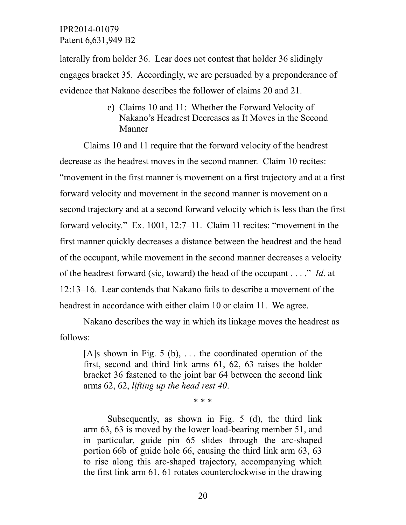laterally from holder 36. Lear does not contest that holder 36 slidingly engages bracket 35. Accordingly, we are persuaded by a preponderance of evidence that Nakano describes the follower of claims 20 and 21.

> e) Claims 10 and 11: Whether the Forward Velocity of Nakano's Headrest Decreases as It Moves in the Second Manner

Claims 10 and 11 require that the forward velocity of the headrest decrease as the headrest moves in the second manner. Claim 10 recites: "movement in the first manner is movement on a first trajectory and at a first forward velocity and movement in the second manner is movement on a second trajectory and at a second forward velocity which is less than the first forward velocity." Ex. 1001, 12:7–11. Claim 11 recites: "movement in the first manner quickly decreases a distance between the headrest and the head of the occupant, while movement in the second manner decreases a velocity of the headrest forward (sic, toward) the head of the occupant . . . ." *Id*. at 12:13–16. Lear contends that Nakano fails to describe a movement of the headrest in accordance with either claim 10 or claim 11. We agree.

Nakano describes the way in which its linkage moves the headrest as follows:

[A]s shown in Fig. 5 (b),  $\ldots$  the coordinated operation of the first, second and third link arms 61, 62, 63 raises the holder bracket 36 fastened to the joint bar 64 between the second link arms 62, 62, *lifting up the head rest 40*.

\* \* \*

Subsequently, as shown in Fig. 5 (d), the third link arm 63, 63 is moved by the lower load-bearing member 51, and in particular, guide pin 65 slides through the arc-shaped portion 66b of guide hole 66, causing the third link arm 63, 63 to rise along this arc-shaped trajectory, accompanying which the first link arm 61, 61 rotates counterclockwise in the drawing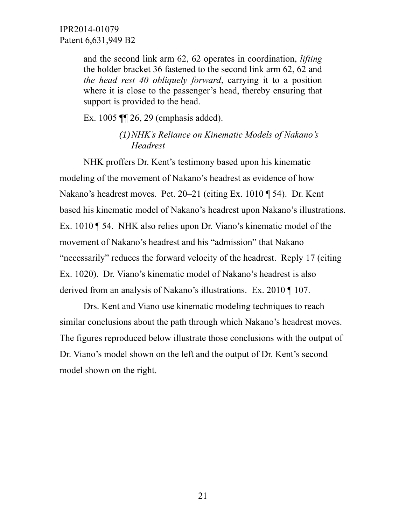and the second link arm 62, 62 operates in coordination, *lifting* the holder bracket 36 fastened to the second link arm 62, 62 and *the head rest 40 obliquely forward*, carrying it to a position where it is close to the passenger's head, thereby ensuring that support is provided to the head.

Ex. 1005 ¶¶ 26, 29 (emphasis added).

*(1)NHK's Reliance on Kinematic Models of Nakano's Headrest*

NHK proffers Dr. Kent's testimony based upon his kinematic modeling of the movement of Nakano's headrest as evidence of how Nakano's headrest moves. Pet. 20–21 (citing Ex. 1010 ¶ 54). Dr. Kent based his kinematic model of Nakano's headrest upon Nakano's illustrations. Ex. 1010 ¶ 54. NHK also relies upon Dr. Viano's kinematic model of the movement of Nakano's headrest and his "admission" that Nakano "necessarily" reduces the forward velocity of the headrest. Reply 17 (citing Ex. 1020). Dr. Viano's kinematic model of Nakano's headrest is also derived from an analysis of Nakano's illustrations. Ex. 2010 ¶ 107.

Drs. Kent and Viano use kinematic modeling techniques to reach similar conclusions about the path through which Nakano's headrest moves. The figures reproduced below illustrate those conclusions with the output of Dr. Viano's model shown on the left and the output of Dr. Kent's second model shown on the right.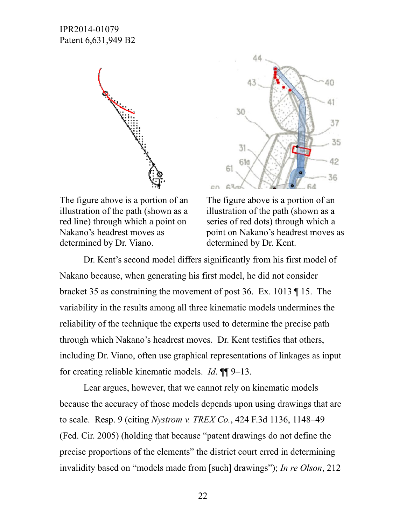



The figure above is a portion of an illustration of the path (shown as a red line) through which a point on Nakano's headrest moves as determined by Dr. Viano.

The figure above is a portion of an illustration of the path (shown as a series of red dots) through which a point on Nakano's headrest moves as determined by Dr. Kent.

Dr. Kent's second model differs significantly from his first model of Nakano because, when generating his first model, he did not consider bracket 35 as constraining the movement of post 36. Ex. 1013 ¶ 15. The variability in the results among all three kinematic models undermines the reliability of the technique the experts used to determine the precise path through which Nakano's headrest moves. Dr. Kent testifies that others, including Dr. Viano, often use graphical representations of linkages as input for creating reliable kinematic models. *Id*. ¶¶ 9–13.

Lear argues, however, that we cannot rely on kinematic models because the accuracy of those models depends upon using drawings that are to scale. Resp. 9 (citing *Nystrom v. TREX Co.*, 424 F.3d 1136, 1148–49 (Fed. Cir. 2005) (holding that because "patent drawings do not define the precise proportions of the elements" the district court erred in determining invalidity based on "models made from [such] drawings"); *In re Olson*, 212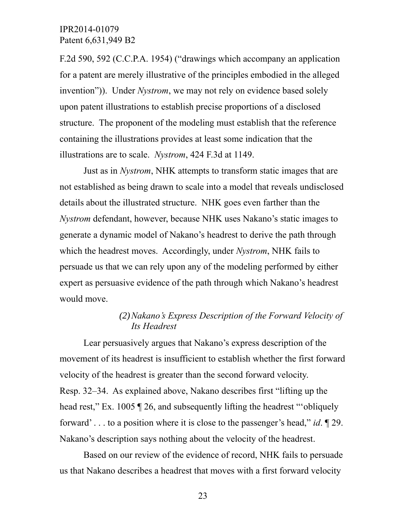F.2d 590, 592 (C.C.P.A. 1954) ("drawings which accompany an application for a patent are merely illustrative of the principles embodied in the alleged invention")). Under *Nystrom*, we may not rely on evidence based solely upon patent illustrations to establish precise proportions of a disclosed structure. The proponent of the modeling must establish that the reference containing the illustrations provides at least some indication that the illustrations are to scale. *Nystrom*, 424 F.3d at 1149.

Just as in *Nystrom*, NHK attempts to transform static images that are not established as being drawn to scale into a model that reveals undisclosed details about the illustrated structure. NHK goes even farther than the *Nystrom* defendant, however, because NHK uses Nakano's static images to generate a dynamic model of Nakano's headrest to derive the path through which the headrest moves. Accordingly, under *Nystrom*, NHK fails to persuade us that we can rely upon any of the modeling performed by either expert as persuasive evidence of the path through which Nakano's headrest would move.

# *(2)Nakano's Express Description of the Forward Velocity of Its Headrest*

Lear persuasively argues that Nakano's express description of the movement of its headrest is insufficient to establish whether the first forward velocity of the headrest is greater than the second forward velocity. Resp. 32–34. As explained above, Nakano describes first "lifting up the head rest," Ex. 1005  $\sqrt{26}$ , and subsequently lifting the headrest "obliquely forward' . . . to a position where it is close to the passenger's head," *id*. ¶ 29. Nakano's description says nothing about the velocity of the headrest.

Based on our review of the evidence of record, NHK fails to persuade us that Nakano describes a headrest that moves with a first forward velocity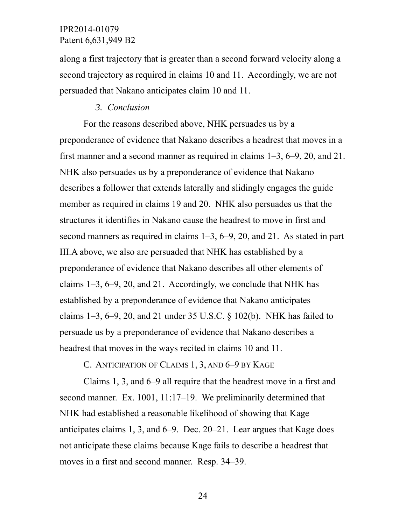along a first trajectory that is greater than a second forward velocity along a second trajectory as required in claims 10 and 11. Accordingly, we are not persuaded that Nakano anticipates claim 10 and 11.

#### *3. Conclusion*

For the reasons described above, NHK persuades us by a preponderance of evidence that Nakano describes a headrest that moves in a first manner and a second manner as required in claims 1–3, 6–9, 20, and 21. NHK also persuades us by a preponderance of evidence that Nakano describes a follower that extends laterally and slidingly engages the guide member as required in claims 19 and 20. NHK also persuades us that the structures it identifies in Nakano cause the headrest to move in first and second manners as required in claims 1–3, 6–9, 20, and 21. As stated in part III.A above, we also are persuaded that NHK has established by a preponderance of evidence that Nakano describes all other elements of claims 1–3, 6–9, 20, and 21. Accordingly, we conclude that NHK has established by a preponderance of evidence that Nakano anticipates claims 1–3, 6–9, 20, and 21 under 35 U.S.C. § 102(b). NHK has failed to persuade us by a preponderance of evidence that Nakano describes a headrest that moves in the ways recited in claims 10 and 11.

C. ANTICIPATION OF CLAIMS 1, 3, AND 6–9 BY KAGE

Claims 1, 3, and 6–9 all require that the headrest move in a first and second manner. Ex. 1001, 11:17–19. We preliminarily determined that NHK had established a reasonable likelihood of showing that Kage anticipates claims 1, 3, and 6–9. Dec. 20–21. Lear argues that Kage does not anticipate these claims because Kage fails to describe a headrest that moves in a first and second manner. Resp. 34–39.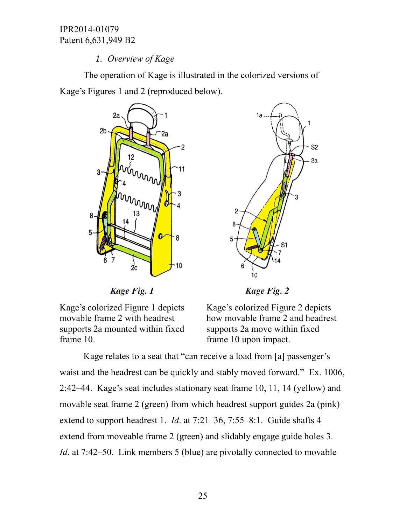# *1. Overview of Kage*

The operation of Kage is illustrated in the colorized versions of Kage's Figures 1 and 2 (reproduced below).



Kage Fig. 1

Kage's colorized Figure 1 depicts movable frame 2 with headrest supports 2a mounted within fixed frame 10.



**Kage Fig. 2** 

Kage's colorized Figure 2 depicts how movable frame 2 and headrest supports 2a move within fixed frame 10 upon impact.

Kage relates to a seat that "can receive a load from [a] passenger's waist and the headrest can be quickly and stably moved forward." Ex. 1006, 2:42–44. Kage's seat includes stationary seat frame 10, 11, 14 (yellow) and movable seat frame 2 (green) from which headrest support guides 2a (pink) extend to support headrest 1. *Id*. at 7:21–36, 7:55–8:1. Guide shafts 4 extend from moveable frame 2 (green) and slidably engage guide holes 3. *Id.* at 7:42–50. Link members 5 (blue) are pivotally connected to movable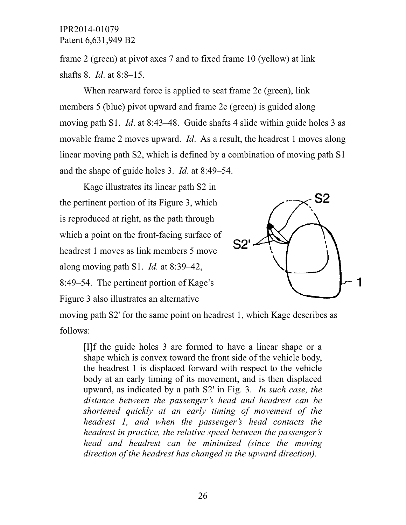frame 2 (green) at pivot axes 7 and to fixed frame 10 (yellow) at link shafts 8. *Id*. at 8:8–15.

When rearward force is applied to seat frame 2c (green), link members 5 (blue) pivot upward and frame 2c (green) is guided along moving path S1. *Id*. at 8:43–48. Guide shafts 4 slide within guide holes 3 as movable frame 2 moves upward. *Id*. As a result, the headrest 1 moves along linear moving path S2, which is defined by a combination of moving path S1 and the shape of guide holes 3. *Id*. at 8:49–54.

Kage illustrates its linear path S2 in the pertinent portion of its Figure 3, which is reproduced at right, as the path through which a point on the front-facing surface of headrest 1 moves as link members 5 move along moving path S1. *Id.* at 8:39–42, 8:49–54. The pertinent portion of Kage's Figure 3 also illustrates an alternative



moving path S2' for the same point on headrest 1, which Kage describes as follows:

[I]f the guide holes 3 are formed to have a linear shape or a shape which is convex toward the front side of the vehicle body, the headrest 1 is displaced forward with respect to the vehicle body at an early timing of its movement, and is then displaced upward, as indicated by a path S2' in Fig. 3. *In such case, the distance between the passenger's head and headrest can be shortened quickly at an early timing of movement of the headrest 1, and when the passenger's head contacts the headrest in practice, the relative speed between the passenger's head and headrest can be minimized (since the moving direction of the headrest has changed in the upward direction).*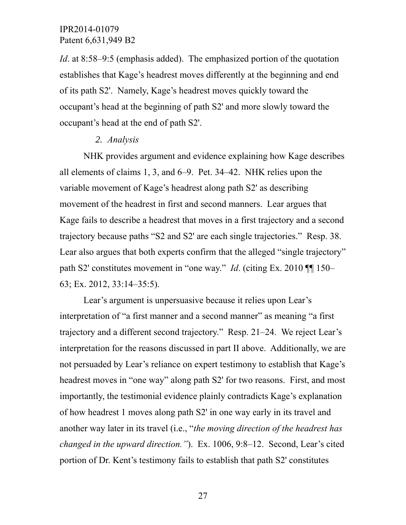*Id*. at 8:58–9:5 (emphasis added). The emphasized portion of the quotation establishes that Kage's headrest moves differently at the beginning and end of its path S2'. Namely, Kage's headrest moves quickly toward the occupant's head at the beginning of path S2' and more slowly toward the occupant's head at the end of path S2'.

#### *2. Analysis*

NHK provides argument and evidence explaining how Kage describes all elements of claims 1, 3, and 6–9. Pet. 34–42. NHK relies upon the variable movement of Kage's headrest along path S2' as describing movement of the headrest in first and second manners. Lear argues that Kage fails to describe a headrest that moves in a first trajectory and a second trajectory because paths "S2 and S2' are each single trajectories." Resp. 38. Lear also argues that both experts confirm that the alleged "single trajectory" path S2' constitutes movement in "one way." *Id*. (citing Ex. 2010 ¶¶ 150– 63; Ex. 2012, 33:14–35:5).

Lear's argument is unpersuasive because it relies upon Lear's interpretation of "a first manner and a second manner" as meaning "a first trajectory and a different second trajectory." Resp. 21–24. We reject Lear's interpretation for the reasons discussed in part II above. Additionally, we are not persuaded by Lear's reliance on expert testimony to establish that Kage's headrest moves in "one way" along path S2' for two reasons. First, and most importantly, the testimonial evidence plainly contradicts Kage's explanation of how headrest 1 moves along path S2' in one way early in its travel and another way later in its travel (i.e., "*the moving direction of the headrest has changed in the upward direction."*). Ex. 1006, 9:8–12. Second, Lear's cited portion of Dr. Kent's testimony fails to establish that path S2' constitutes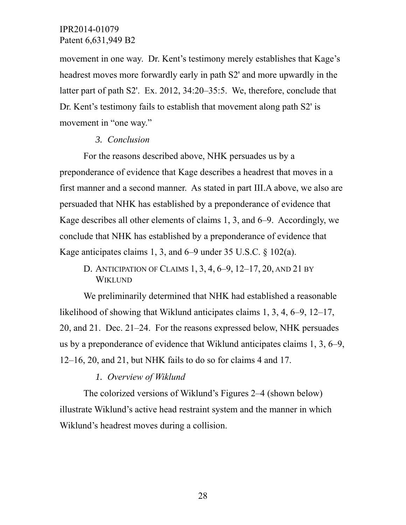movement in one way. Dr. Kent's testimony merely establishes that Kage's headrest moves more forwardly early in path S2' and more upwardly in the latter part of path S2'. Ex. 2012, 34:20–35:5. We, therefore, conclude that Dr. Kent's testimony fails to establish that movement along path S2' is movement in "one way."

# *3. Conclusion*

For the reasons described above, NHK persuades us by a preponderance of evidence that Kage describes a headrest that moves in a first manner and a second manner. As stated in part III.A above, we also are persuaded that NHK has established by a preponderance of evidence that Kage describes all other elements of claims 1, 3, and 6–9. Accordingly, we conclude that NHK has established by a preponderance of evidence that Kage anticipates claims 1, 3, and 6–9 under 35 U.S.C. § 102(a).

D. ANTICIPATION OF CLAIMS 1, 3, 4, 6–9, 12–17, 20, AND 21 BY WIKLUND

We preliminarily determined that NHK had established a reasonable likelihood of showing that Wiklund anticipates claims 1, 3, 4, 6–9, 12–17, 20, and 21. Dec. 21–24. For the reasons expressed below, NHK persuades us by a preponderance of evidence that Wiklund anticipates claims 1, 3, 6–9, 12–16, 20, and 21, but NHK fails to do so for claims 4 and 17.

*1. Overview of Wiklund*

The colorized versions of Wiklund's Figures 2–4 (shown below) illustrate Wiklund's active head restraint system and the manner in which Wiklund's headrest moves during a collision.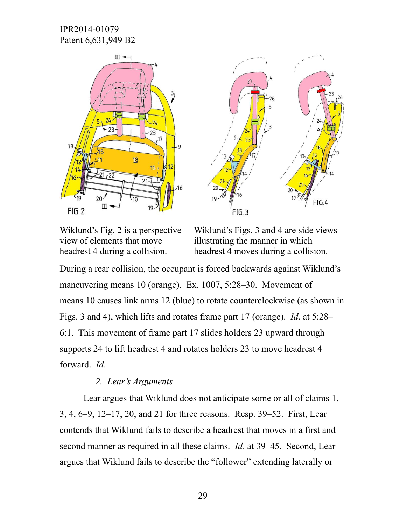



Wiklund's Fig. 2 is a perspective view of elements that move headrest 4 during a collision.

Wiklund's Figs. 3 and 4 are side views illustrating the manner in which headrest 4 moves during a collision.

During a rear collision, the occupant is forced backwards against Wiklund's maneuvering means 10 (orange). Ex. 1007, 5:28–30. Movement of means 10 causes link arms 12 (blue) to rotate counterclockwise (as shown in Figs. 3 and 4), which lifts and rotates frame part 17 (orange). *Id*. at 5:28– 6:1. This movement of frame part 17 slides holders 23 upward through supports 24 to lift headrest 4 and rotates holders 23 to move headrest 4 forward. *Id*.

## *2. Lear's Arguments*

Lear argues that Wiklund does not anticipate some or all of claims 1, 3, 4, 6–9, 12–17, 20, and 21 for three reasons. Resp. 39–52. First, Lear contends that Wiklund fails to describe a headrest that moves in a first and second manner as required in all these claims. *Id*. at 39–45. Second, Lear argues that Wiklund fails to describe the "follower" extending laterally or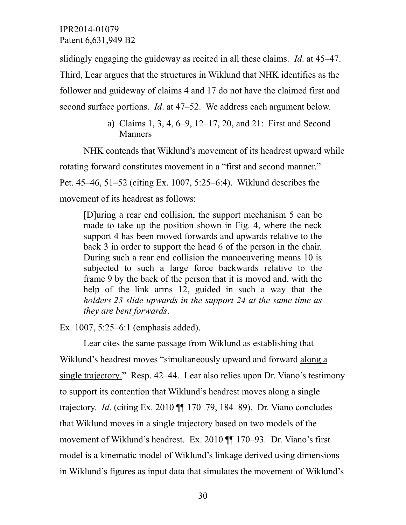slidingly engaging the guideway as recited in all these claims. *Id*. at 45–47. Third, Lear argues that the structures in Wiklund that NHK identifies as the follower and guideway of claims 4 and 17 do not have the claimed first and second surface portions. *Id*. at 47–52. We address each argument below.

> a) Claims 1, 3, 4, 6–9, 12–17, 20, and 21: First and Second Manners

NHK contends that Wiklund's movement of its headrest upward while rotating forward constitutes movement in a "first and second manner." Pet. 45–46, 51–52 (citing Ex. 1007, 5:25–6:4). Wiklund describes the movement of its headrest as follows:

[D]uring a rear end collision, the support mechanism 5 can be made to take up the position shown in Fig. 4, where the neck support 4 has been moved forwards and upwards relative to the back 3 in order to support the head 6 of the person in the chair. During such a rear end collision the manoeuvering means 10 is subjected to such a large force backwards relative to the frame 9 by the back of the person that it is moved and, with the help of the link arms 12, guided in such a way that the *holders 23 slide upwards in the support 24 at the same time as they are bent forwards*.

Ex. 1007, 5:25–6:1 (emphasis added).

Lear cites the same passage from Wiklund as establishing that Wiklund's headrest moves "simultaneously upward and forward along a single trajectory." Resp. 42–44. Lear also relies upon Dr. Viano's testimony to support its contention that Wiklund's headrest moves along a single trajectory. *Id*. (citing Ex. 2010 ¶¶ 170–79, 184–89). Dr. Viano concludes that Wiklund moves in a single trajectory based on two models of the movement of Wiklund's headrest. Ex. 2010 ¶¶ 170–93. Dr. Viano's first model is a kinematic model of Wiklund's linkage derived using dimensions in Wiklund's figures as input data that simulates the movement of Wiklund's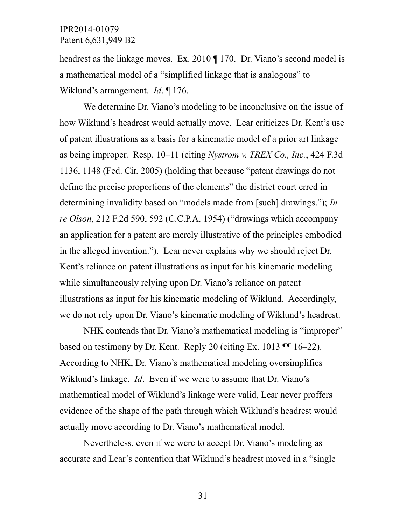headrest as the linkage moves. Ex. 2010 ¶ 170. Dr. Viano's second model is a mathematical model of a "simplified linkage that is analogous" to Wiklund's arrangement. *Id*. ¶ 176.

We determine Dr. Viano's modeling to be inconclusive on the issue of how Wiklund's headrest would actually move. Lear criticizes Dr. Kent's use of patent illustrations as a basis for a kinematic model of a prior art linkage as being improper. Resp. 10–11 (citing *Nystrom v. TREX Co., Inc.*, 424 F.3d 1136, 1148 (Fed. Cir. 2005) (holding that because "patent drawings do not define the precise proportions of the elements" the district court erred in determining invalidity based on "models made from [such] drawings."); *In re Olson*, 212 F.2d 590, 592 (C.C.P.A. 1954) ("drawings which accompany an application for a patent are merely illustrative of the principles embodied in the alleged invention."). Lear never explains why we should reject Dr. Kent's reliance on patent illustrations as input for his kinematic modeling while simultaneously relying upon Dr. Viano's reliance on patent illustrations as input for his kinematic modeling of Wiklund. Accordingly, we do not rely upon Dr. Viano's kinematic modeling of Wiklund's headrest.

NHK contends that Dr. Viano's mathematical modeling is "improper" based on testimony by Dr. Kent. Reply 20 (citing Ex. 1013 ¶¶ 16–22). According to NHK, Dr. Viano's mathematical modeling oversimplifies Wiklund's linkage. *Id*. Even if we were to assume that Dr. Viano's mathematical model of Wiklund's linkage were valid, Lear never proffers evidence of the shape of the path through which Wiklund's headrest would actually move according to Dr. Viano's mathematical model.

Nevertheless, even if we were to accept Dr. Viano's modeling as accurate and Lear's contention that Wiklund's headrest moved in a "single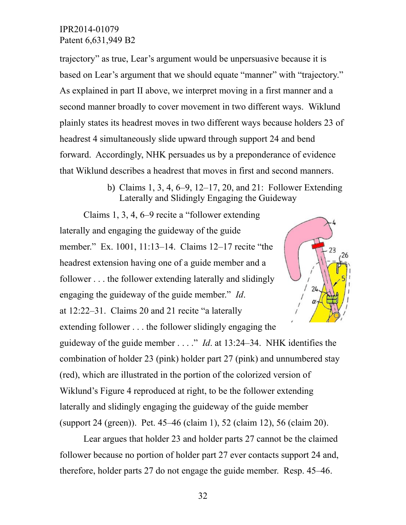trajectory" as true, Lear's argument would be unpersuasive because it is based on Lear's argument that we should equate "manner" with "trajectory." As explained in part II above, we interpret moving in a first manner and a second manner broadly to cover movement in two different ways. Wiklund plainly states its headrest moves in two different ways because holders 23 of headrest 4 simultaneously slide upward through support 24 and bend forward. Accordingly, NHK persuades us by a preponderance of evidence that Wiklund describes a headrest that moves in first and second manners.

> b) Claims 1, 3, 4, 6–9, 12–17, 20, and 21: Follower Extending Laterally and Slidingly Engaging the Guideway

> > 23

Claims 1, 3, 4, 6–9 recite a "follower extending laterally and engaging the guideway of the guide member." Ex. 1001, 11:13–14. Claims 12–17 recite "the headrest extension having one of a guide member and a follower . . . the follower extending laterally and slidingly  $2<sub>L</sub>$ engaging the guideway of the guide member." *Id*. at 12:22–31. Claims 20 and 21 recite "a laterally extending follower . . . the follower slidingly engaging the guideway of the guide member . . . ." *Id*. at 13:24–34. NHK identifies the combination of holder 23 (pink) holder part 27 (pink) and unnumbered stay (red), which are illustrated in the portion of the colorized version of Wiklund's Figure 4 reproduced at right, to be the follower extending laterally and slidingly engaging the guideway of the guide member (support 24 (green)). Pet. 45–46 (claim 1), 52 (claim 12), 56 (claim 20).

Lear argues that holder 23 and holder parts 27 cannot be the claimed follower because no portion of holder part 27 ever contacts support 24 and, therefore, holder parts 27 do not engage the guide member. Resp. 45–46.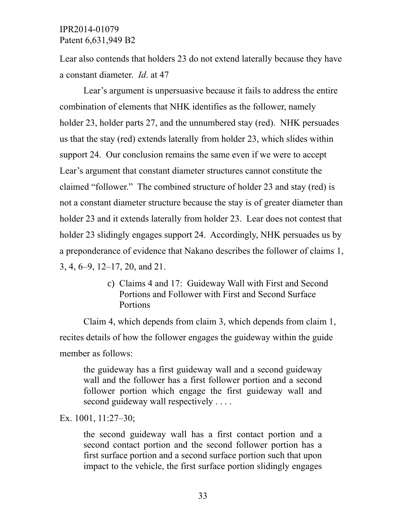Lear also contends that holders 23 do not extend laterally because they have a constant diameter. *Id*. at 47

Lear's argument is unpersuasive because it fails to address the entire combination of elements that NHK identifies as the follower, namely holder 23, holder parts 27, and the unnumbered stay (red). NHK persuades us that the stay (red) extends laterally from holder 23, which slides within support 24. Our conclusion remains the same even if we were to accept Lear's argument that constant diameter structures cannot constitute the claimed "follower." The combined structure of holder 23 and stay (red) is not a constant diameter structure because the stay is of greater diameter than holder 23 and it extends laterally from holder 23. Lear does not contest that holder 23 slidingly engages support 24. Accordingly, NHK persuades us by a preponderance of evidence that Nakano describes the follower of claims 1, 3, 4, 6–9, 12–17, 20, and 21.

> c) Claims 4 and 17: Guideway Wall with First and Second Portions and Follower with First and Second Surface Portions

Claim 4, which depends from claim 3, which depends from claim 1, recites details of how the follower engages the guideway within the guide member as follows:

the guideway has a first guideway wall and a second guideway wall and the follower has a first follower portion and a second follower portion which engage the first guideway wall and second guideway wall respectively . . . .

Ex. 1001, 11:27–30;

the second guideway wall has a first contact portion and a second contact portion and the second follower portion has a first surface portion and a second surface portion such that upon impact to the vehicle, the first surface portion slidingly engages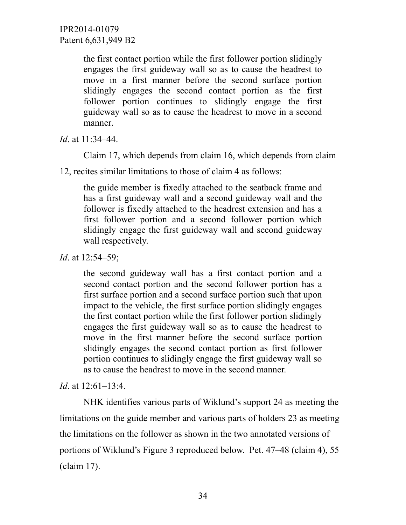> the first contact portion while the first follower portion slidingly engages the first guideway wall so as to cause the headrest to move in a first manner before the second surface portion slidingly engages the second contact portion as the first follower portion continues to slidingly engage the first guideway wall so as to cause the headrest to move in a second manner.

*Id*. at 11:34–44.

Claim 17, which depends from claim 16, which depends from claim

12, recites similar limitations to those of claim 4 as follows:

the guide member is fixedly attached to the seatback frame and has a first guideway wall and a second guideway wall and the follower is fixedly attached to the headrest extension and has a first follower portion and a second follower portion which slidingly engage the first guideway wall and second guideway wall respectively.

*Id.* at 12:54–59;

the second guideway wall has a first contact portion and a second contact portion and the second follower portion has a first surface portion and a second surface portion such that upon impact to the vehicle, the first surface portion slidingly engages the first contact portion while the first follower portion slidingly engages the first guideway wall so as to cause the headrest to move in the first manner before the second surface portion slidingly engages the second contact portion as first follower portion continues to slidingly engage the first guideway wall so as to cause the headrest to move in the second manner.

*Id*. at 12:61–13:4.

NHK identifies various parts of Wiklund's support 24 as meeting the limitations on the guide member and various parts of holders 23 as meeting the limitations on the follower as shown in the two annotated versions of portions of Wiklund's Figure 3 reproduced below. Pet. 47–48 (claim 4), 55 (claim 17).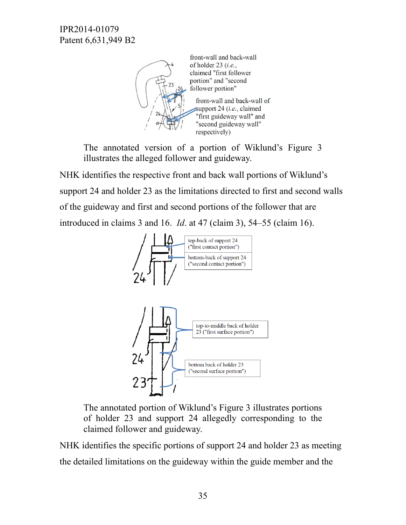

front-wall and back-wall of holder  $23$  (*i.e.*, claimed "first follower portion" and "second follower portion" front-wall and back-wall of support  $24$  (*i.e.*, claimed "first guideway wall" and

The annotated version of a portion of Wiklund's Figure 3 illustrates the alleged follower and guideway.

NHK identifies the respective front and back wall portions of Wiklund's support 24 and holder 23 as the limitations directed to first and second walls of the guideway and first and second portions of the follower that are introduced in claims 3 and 16. *Id*. at 47 (claim 3), 54–55 (claim 16).



The annotated portion of Wiklund's Figure 3 illustrates portions of holder 23 and support 24 allegedly corresponding to the claimed follower and guideway.

NHK identifies the specific portions of support 24 and holder 23 as meeting the detailed limitations on the guideway within the guide member and the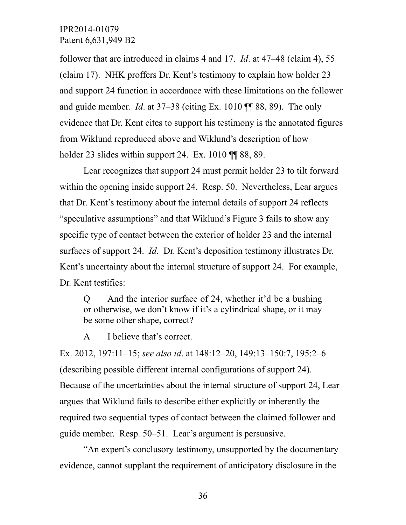follower that are introduced in claims 4 and 17. *Id*. at 47–48 (claim 4), 55 (claim 17). NHK proffers Dr. Kent's testimony to explain how holder 23 and support 24 function in accordance with these limitations on the follower and guide member. *Id*. at 37–38 (citing Ex. 1010 ¶¶ 88, 89). The only evidence that Dr. Kent cites to support his testimony is the annotated figures from Wiklund reproduced above and Wiklund's description of how holder 23 slides within support 24. Ex. 1010 TH 88, 89.

Lear recognizes that support 24 must permit holder 23 to tilt forward within the opening inside support 24. Resp. 50. Nevertheless, Lear argues that Dr. Kent's testimony about the internal details of support 24 reflects "speculative assumptions" and that Wiklund's Figure 3 fails to show any specific type of contact between the exterior of holder 23 and the internal surfaces of support 24. *Id*. Dr. Kent's deposition testimony illustrates Dr. Kent's uncertainty about the internal structure of support 24. For example, Dr. Kent testifies:

Q And the interior surface of 24, whether it'd be a bushing or otherwise, we don't know if it's a cylindrical shape, or it may be some other shape, correct?

A I believe that's correct.

Ex. 2012, 197:11–15; *see also id*. at 148:12–20, 149:13–150:7, 195:2–6 (describing possible different internal configurations of support 24). Because of the uncertainties about the internal structure of support 24, Lear argues that Wiklund fails to describe either explicitly or inherently the required two sequential types of contact between the claimed follower and guide member. Resp. 50–51. Lear's argument is persuasive.

"An expert's conclusory testimony, unsupported by the documentary evidence, cannot supplant the requirement of anticipatory disclosure in the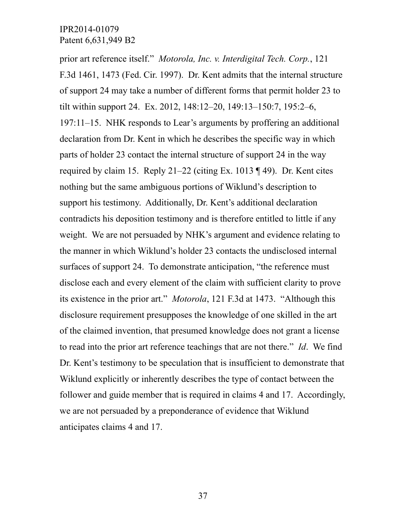prior art reference itself." *Motorola, Inc. v. Interdigital Tech. Corp.*, 121 F.3d 1461, 1473 (Fed. Cir. 1997). Dr. Kent admits that the internal structure of support 24 may take a number of different forms that permit holder 23 to tilt within support 24. Ex. 2012, 148:12–20, 149:13–150:7, 195:2–6, 197:11–15. NHK responds to Lear's arguments by proffering an additional declaration from Dr. Kent in which he describes the specific way in which parts of holder 23 contact the internal structure of support 24 in the way required by claim 15. Reply 21–22 (citing Ex. 1013 ¶ 49). Dr. Kent cites nothing but the same ambiguous portions of Wiklund's description to support his testimony. Additionally, Dr. Kent's additional declaration contradicts his deposition testimony and is therefore entitled to little if any weight. We are not persuaded by NHK's argument and evidence relating to the manner in which Wiklund's holder 23 contacts the undisclosed internal surfaces of support 24. To demonstrate anticipation, "the reference must disclose each and every element of the claim with sufficient clarity to prove its existence in the prior art." *Motorola*, 121 F.3d at 1473. "Although this disclosure requirement presupposes the knowledge of one skilled in the art of the claimed invention, that presumed knowledge does not grant a license to read into the prior art reference teachings that are not there." *Id*. We find Dr. Kent's testimony to be speculation that is insufficient to demonstrate that Wiklund explicitly or inherently describes the type of contact between the follower and guide member that is required in claims 4 and 17. Accordingly, we are not persuaded by a preponderance of evidence that Wiklund anticipates claims 4 and 17.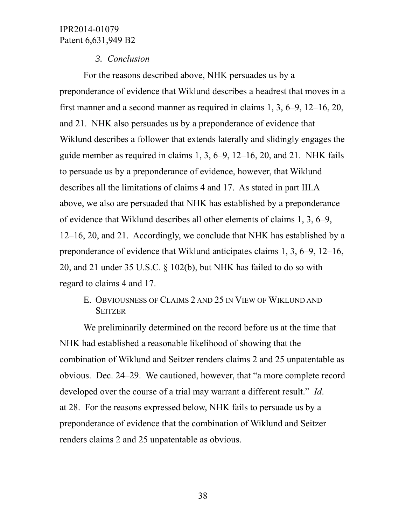### *3. Conclusion*

For the reasons described above, NHK persuades us by a preponderance of evidence that Wiklund describes a headrest that moves in a first manner and a second manner as required in claims 1, 3, 6–9, 12–16, 20, and 21. NHK also persuades us by a preponderance of evidence that Wiklund describes a follower that extends laterally and slidingly engages the guide member as required in claims 1, 3, 6–9, 12–16, 20, and 21. NHK fails to persuade us by a preponderance of evidence, however, that Wiklund describes all the limitations of claims 4 and 17. As stated in part III.A above, we also are persuaded that NHK has established by a preponderance of evidence that Wiklund describes all other elements of claims 1, 3, 6–9, 12–16, 20, and 21. Accordingly, we conclude that NHK has established by a preponderance of evidence that Wiklund anticipates claims 1, 3, 6–9, 12–16, 20, and 21 under 35 U.S.C. § 102(b), but NHK has failed to do so with regard to claims 4 and 17.

# E. OBVIOUSNESS OF CLAIMS 2 AND 25 IN VIEW OF WIKLUND AND **SEITZER**

We preliminarily determined on the record before us at the time that NHK had established a reasonable likelihood of showing that the combination of Wiklund and Seitzer renders claims 2 and 25 unpatentable as obvious. Dec. 24–29. We cautioned, however, that "a more complete record developed over the course of a trial may warrant a different result." *Id*. at 28. For the reasons expressed below, NHK fails to persuade us by a preponderance of evidence that the combination of Wiklund and Seitzer renders claims 2 and 25 unpatentable as obvious.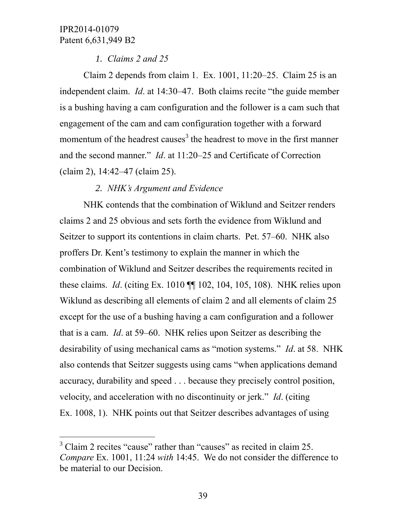l

# *1. Claims 2 and 25*

Claim 2 depends from claim 1. Ex. 1001, 11:20–25. Claim 25 is an independent claim. *Id*. at 14:30–47. Both claims recite "the guide member is a bushing having a cam configuration and the follower is a cam such that engagement of the cam and cam configuration together with a forward momentum of the headrest causes<sup>3</sup> the headrest to move in the first manner and the second manner." *Id*. at 11:20–25 and Certificate of Correction (claim 2), 14:42–47 (claim 25).

# *2. NHK's Argument and Evidence*

NHK contends that the combination of Wiklund and Seitzer renders claims 2 and 25 obvious and sets forth the evidence from Wiklund and Seitzer to support its contentions in claim charts. Pet. 57–60. NHK also proffers Dr. Kent's testimony to explain the manner in which the combination of Wiklund and Seitzer describes the requirements recited in these claims. *Id*. (citing Ex. 1010 ¶¶ 102, 104, 105, 108). NHK relies upon Wiklund as describing all elements of claim 2 and all elements of claim 25 except for the use of a bushing having a cam configuration and a follower that is a cam. *Id*. at 59–60. NHK relies upon Seitzer as describing the desirability of using mechanical cams as "motion systems." *Id*. at 58. NHK also contends that Seitzer suggests using cams "when applications demand accuracy, durability and speed . . . because they precisely control position, velocity, and acceleration with no discontinuity or jerk." *Id*. (citing Ex. 1008, 1). NHK points out that Seitzer describes advantages of using

<sup>&</sup>lt;sup>3</sup> Claim 2 recites "cause" rather than "causes" as recited in claim 25. *Compare* Ex. 1001, 11:24 *with* 14:45. We do not consider the difference to be material to our Decision.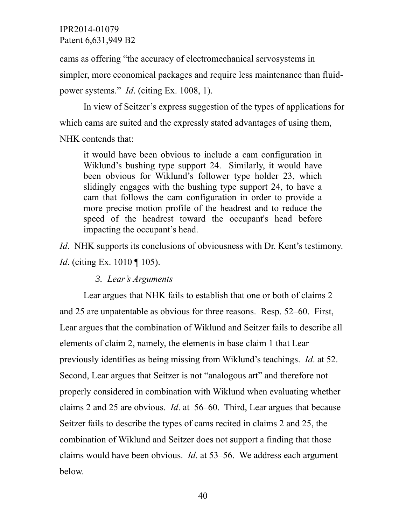cams as offering "the accuracy of electromechanical servosystems in simpler, more economical packages and require less maintenance than fluidpower systems." *Id*. (citing Ex. 1008, 1).

In view of Seitzer's express suggestion of the types of applications for which cams are suited and the expressly stated advantages of using them,

NHK contends that:

it would have been obvious to include a cam configuration in Wiklund's bushing type support 24. Similarly, it would have been obvious for Wiklund's follower type holder 23, which slidingly engages with the bushing type support 24, to have a cam that follows the cam configuration in order to provide a more precise motion profile of the headrest and to reduce the speed of the headrest toward the occupant's head before impacting the occupant's head.

*Id.* NHK supports its conclusions of obviousness with Dr. Kent's testimony. *Id.* (citing Ex. 1010 ¶ 105).

*3. Lear's Arguments*

Lear argues that NHK fails to establish that one or both of claims 2 and 25 are unpatentable as obvious for three reasons. Resp. 52–60. First, Lear argues that the combination of Wiklund and Seitzer fails to describe all elements of claim 2, namely, the elements in base claim 1 that Lear previously identifies as being missing from Wiklund's teachings. *Id*. at 52. Second, Lear argues that Seitzer is not "analogous art" and therefore not properly considered in combination with Wiklund when evaluating whether claims 2 and 25 are obvious. *Id*. at 56–60. Third, Lear argues that because Seitzer fails to describe the types of cams recited in claims 2 and 25, the combination of Wiklund and Seitzer does not support a finding that those claims would have been obvious. *Id*. at 53–56. We address each argument below.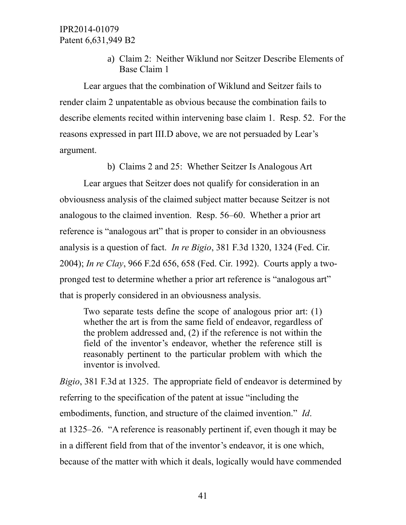a) Claim 2: Neither Wiklund nor Seitzer Describe Elements of Base Claim 1

Lear argues that the combination of Wiklund and Seitzer fails to render claim 2 unpatentable as obvious because the combination fails to describe elements recited within intervening base claim 1. Resp. 52. For the reasons expressed in part III.D above, we are not persuaded by Lear's argument.

b) Claims 2 and 25: Whether Seitzer Is Analogous Art

Lear argues that Seitzer does not qualify for consideration in an obviousness analysis of the claimed subject matter because Seitzer is not analogous to the claimed invention. Resp. 56–60. Whether a prior art reference is "analogous art" that is proper to consider in an obviousness analysis is a question of fact. *In re Bigio*, 381 F.3d 1320, 1324 (Fed. Cir. 2004); *In re Clay*, 966 F.2d 656, 658 (Fed. Cir. 1992). Courts apply a twopronged test to determine whether a prior art reference is "analogous art" that is properly considered in an obviousness analysis.

Two separate tests define the scope of analogous prior art: (1) whether the art is from the same field of endeavor, regardless of the problem addressed and, (2) if the reference is not within the field of the inventor's endeavor, whether the reference still is reasonably pertinent to the particular problem with which the inventor is involved.

*Bigio*, 381 F.3d at 1325. The appropriate field of endeavor is determined by referring to the specification of the patent at issue "including the embodiments, function, and structure of the claimed invention." *Id*. at 1325–26. "A reference is reasonably pertinent if, even though it may be in a different field from that of the inventor's endeavor, it is one which, because of the matter with which it deals, logically would have commended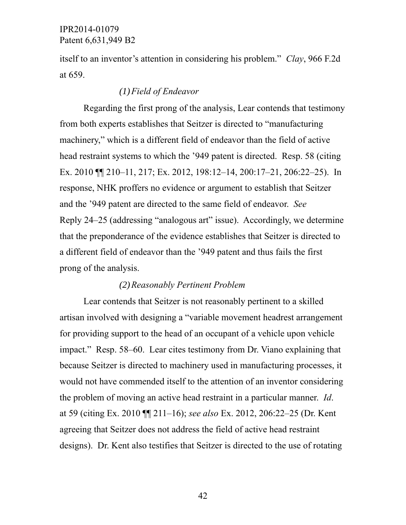itself to an inventor's attention in considering his problem." *Clay*, 966 F.2d at 659.

### *(1)Field of Endeavor*

Regarding the first prong of the analysis, Lear contends that testimony from both experts establishes that Seitzer is directed to "manufacturing machinery," which is a different field of endeavor than the field of active head restraint systems to which the '949 patent is directed. Resp. 58 (citing Ex. 2010 ¶¶ 210–11, 217; Ex. 2012, 198:12–14, 200:17–21, 206:22–25). In response, NHK proffers no evidence or argument to establish that Seitzer and the '949 patent are directed to the same field of endeavor. *See* Reply 24–25 (addressing "analogous art" issue). Accordingly, we determine that the preponderance of the evidence establishes that Seitzer is directed to a different field of endeavor than the '949 patent and thus fails the first prong of the analysis.

#### *(2)Reasonably Pertinent Problem*

Lear contends that Seitzer is not reasonably pertinent to a skilled artisan involved with designing a "variable movement headrest arrangement for providing support to the head of an occupant of a vehicle upon vehicle impact." Resp. 58–60. Lear cites testimony from Dr. Viano explaining that because Seitzer is directed to machinery used in manufacturing processes, it would not have commended itself to the attention of an inventor considering the problem of moving an active head restraint in a particular manner. *Id*. at 59 (citing Ex. 2010 ¶¶ 211–16); *see also* Ex. 2012, 206:22–25 (Dr. Kent agreeing that Seitzer does not address the field of active head restraint designs). Dr. Kent also testifies that Seitzer is directed to the use of rotating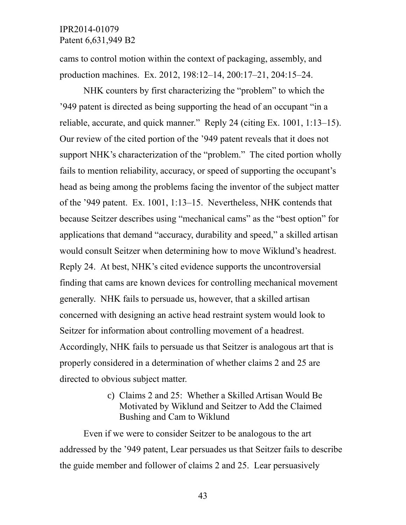cams to control motion within the context of packaging, assembly, and production machines. Ex. 2012, 198:12–14, 200:17–21, 204:15–24.

NHK counters by first characterizing the "problem" to which the '949 patent is directed as being supporting the head of an occupant "in a reliable, accurate, and quick manner." Reply 24 (citing Ex. 1001, 1:13–15). Our review of the cited portion of the '949 patent reveals that it does not support NHK's characterization of the "problem." The cited portion wholly fails to mention reliability, accuracy, or speed of supporting the occupant's head as being among the problems facing the inventor of the subject matter of the '949 patent. Ex. 1001, 1:13–15. Nevertheless, NHK contends that because Seitzer describes using "mechanical cams" as the "best option" for applications that demand "accuracy, durability and speed," a skilled artisan would consult Seitzer when determining how to move Wiklund's headrest. Reply 24. At best, NHK's cited evidence supports the uncontroversial finding that cams are known devices for controlling mechanical movement generally. NHK fails to persuade us, however, that a skilled artisan concerned with designing an active head restraint system would look to Seitzer for information about controlling movement of a headrest. Accordingly, NHK fails to persuade us that Seitzer is analogous art that is properly considered in a determination of whether claims 2 and 25 are directed to obvious subject matter.

> c) Claims 2 and 25: Whether a Skilled Artisan Would Be Motivated by Wiklund and Seitzer to Add the Claimed Bushing and Cam to Wiklund

Even if we were to consider Seitzer to be analogous to the art addressed by the '949 patent, Lear persuades us that Seitzer fails to describe the guide member and follower of claims 2 and 25. Lear persuasively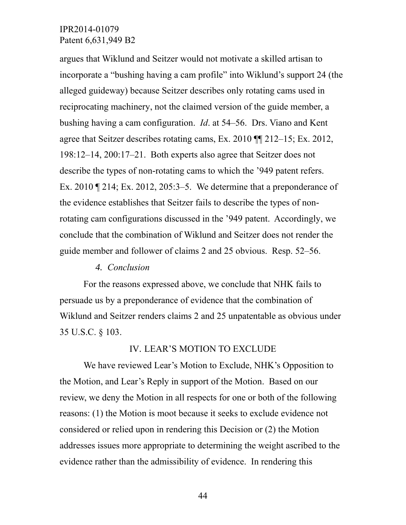argues that Wiklund and Seitzer would not motivate a skilled artisan to incorporate a "bushing having a cam profile" into Wiklund's support 24 (the alleged guideway) because Seitzer describes only rotating cams used in reciprocating machinery, not the claimed version of the guide member, a bushing having a cam configuration. *Id*. at 54–56. Drs. Viano and Kent agree that Seitzer describes rotating cams, Ex. 2010 ¶¶ 212–15; Ex. 2012, 198:12–14, 200:17–21. Both experts also agree that Seitzer does not describe the types of non-rotating cams to which the '949 patent refers. Ex. 2010 ¶ 214; Ex. 2012, 205:3–5. We determine that a preponderance of the evidence establishes that Seitzer fails to describe the types of nonrotating cam configurations discussed in the '949 patent. Accordingly, we conclude that the combination of Wiklund and Seitzer does not render the guide member and follower of claims 2 and 25 obvious. Resp. 52–56.

#### *4. Conclusion*

For the reasons expressed above, we conclude that NHK fails to persuade us by a preponderance of evidence that the combination of Wiklund and Seitzer renders claims 2 and 25 unpatentable as obvious under 35 U.S.C. § 103.

#### IV. LEAR'S MOTION TO EXCLUDE

We have reviewed Lear's Motion to Exclude, NHK's Opposition to the Motion, and Lear's Reply in support of the Motion. Based on our review, we deny the Motion in all respects for one or both of the following reasons: (1) the Motion is moot because it seeks to exclude evidence not considered or relied upon in rendering this Decision or (2) the Motion addresses issues more appropriate to determining the weight ascribed to the evidence rather than the admissibility of evidence. In rendering this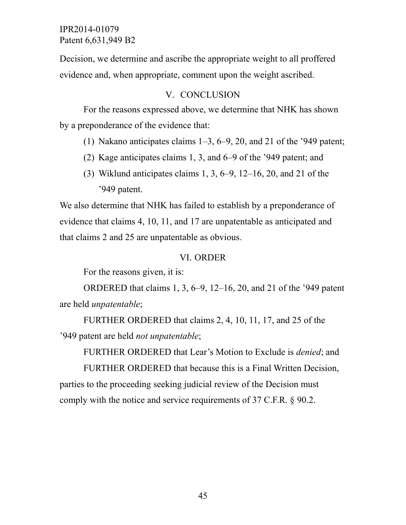Decision, we determine and ascribe the appropriate weight to all proffered evidence and, when appropriate, comment upon the weight ascribed.

### V. CONCLUSION

For the reasons expressed above, we determine that NHK has shown by a preponderance of the evidence that:

- (1) Nakano anticipates claims  $1-3$ ,  $6-9$ ,  $20$ , and  $21$  of the '949 patent;
- (2) Kage anticipates claims 1, 3, and 6–9 of the '949 patent; and
- (3) Wiklund anticipates claims 1, 3, 6–9, 12–16, 20, and 21 of the '949 patent.

We also determine that NHK has failed to establish by a preponderance of evidence that claims 4, 10, 11, and 17 are unpatentable as anticipated and that claims 2 and 25 are unpatentable as obvious.

# VI. ORDER

For the reasons given, it is:

ORDERED that claims 1, 3, 6–9, 12–16, 20, and 21 of the '949 patent are held *unpatentable*;

FURTHER ORDERED that claims 2, 4, 10, 11, 17, and 25 of the '949 patent are held *not unpatentable*;

FURTHER ORDERED that Lear's Motion to Exclude is *denied*; and

FURTHER ORDERED that because this is a Final Written Decision, parties to the proceeding seeking judicial review of the Decision must comply with the notice and service requirements of 37 C.F.R. § 90.2.